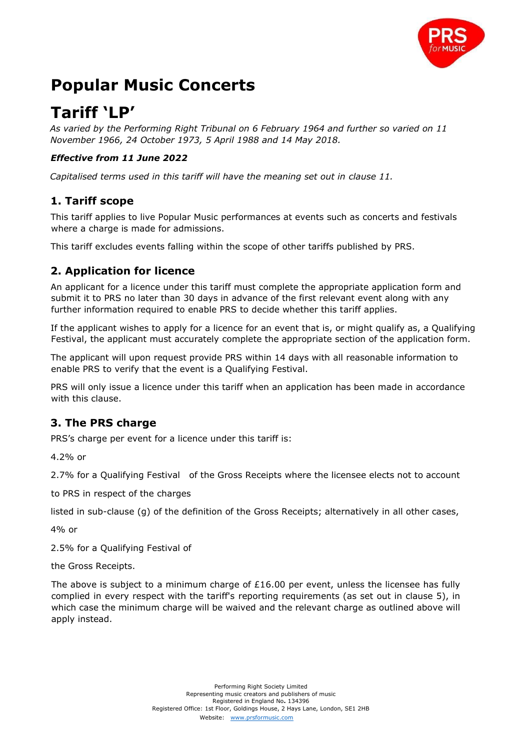

# **Popular Music Concerts**

# **Tariff 'LP'**

*As varied by the Performing Right Tribunal on 6 February 1964 and further so varied on 11 November 1966, 24 October 1973, 5 April 1988 and 14 May 2018.* 

#### *Effective from 11 June 2022*

*Capitalised terms used in this tariff will have the meaning set out in clause 11.* 

#### **1. Tariff scope**

This tariff applies to live Popular Music performances at events such as concerts and festivals where a charge is made for admissions.

This tariff excludes events falling within the scope of other tariffs published by PRS.

## **2. Application for licence**

An applicant for a licence under this tariff must complete the appropriate application form and submit it to PRS no later than 30 days in advance of the first relevant event along with any further information required to enable PRS to decide whether this tariff applies.

If the applicant wishes to apply for a licence for an event that is, or might qualify as, a Qualifying Festival, the applicant must accurately complete the appropriate section of the application form.

The applicant will upon request provide PRS within 14 days with all reasonable information to enable PRS to verify that the event is a Qualifying Festival.

PRS will only issue a licence under this tariff when an application has been made in accordance with this clause.

## **3. The PRS charge**

PRS's charge per event for a licence under this tariff is:

4.2% or

2.7% for a Qualifying Festival of the Gross Receipts where the licensee elects not to account

to PRS in respect of the charges

listed in sub-clause (g) of the definition of the Gross Receipts; alternatively in all other cases,

4% or

2.5% for a Qualifying Festival of

the Gross Receipts.

The above is subject to a minimum charge of  $£16.00$  per event, unless the licensee has fully complied in every respect with the tariff's reporting requirements (as set out in clause 5), in which case the minimum charge will be waived and the relevant charge as outlined above will apply instead.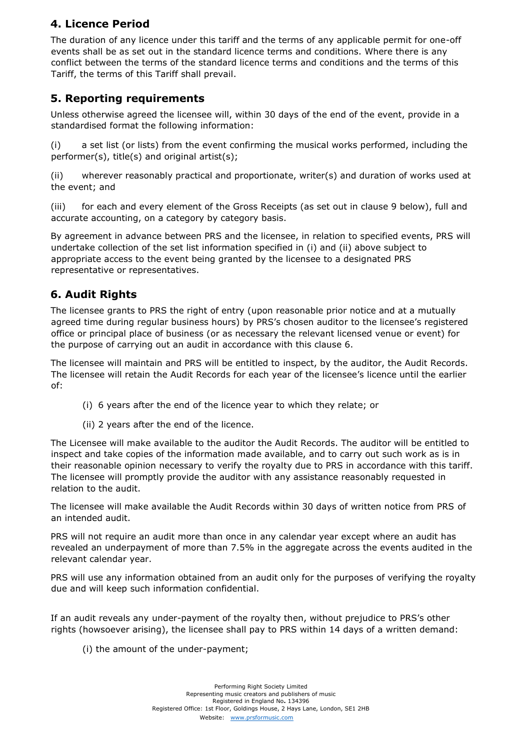# **4. Licence Period**

The duration of any licence under this tariff and the terms of any applicable permit for one-off events shall be as set out in the standard licence terms and conditions. Where there is any conflict between the terms of the standard licence terms and conditions and the terms of this Tariff, the terms of this Tariff shall prevail.

#### **5. Reporting requirements**

Unless otherwise agreed the licensee will, within 30 days of the end of the event, provide in a standardised format the following information:

(i) a set list (or lists) from the event confirming the musical works performed, including the performer(s), title(s) and original artist(s);

(ii) wherever reasonably practical and proportionate, writer(s) and duration of works used at the event; and

(iii) for each and every element of the Gross Receipts (as set out in clause 9 below), full and accurate accounting, on a category by category basis.

By agreement in advance between PRS and the licensee, in relation to specified events, PRS will undertake collection of the set list information specified in (i) and (ii) above subject to appropriate access to the event being granted by the licensee to a designated PRS representative or representatives.

## **6. Audit Rights**

The licensee grants to PRS the right of entry (upon reasonable prior notice and at a mutually agreed time during regular business hours) by PRS's chosen auditor to the licensee's registered office or principal place of business (or as necessary the relevant licensed venue or event) for the purpose of carrying out an audit in accordance with this clause 6.

The licensee will maintain and PRS will be entitled to inspect, by the auditor, the Audit Records. The licensee will retain the Audit Records for each year of the licensee's licence until the earlier of:

- (i) 6 years after the end of the licence year to which they relate; or
- (ii) 2 years after the end of the licence.

The Licensee will make available to the auditor the Audit Records. The auditor will be entitled to inspect and take copies of the information made available, and to carry out such work as is in their reasonable opinion necessary to verify the royalty due to PRS in accordance with this tariff. The licensee will promptly provide the auditor with any assistance reasonably requested in relation to the audit.

The licensee will make available the Audit Records within 30 days of written notice from PRS of an intended audit.

PRS will not require an audit more than once in any calendar year except where an audit has revealed an underpayment of more than 7.5% in the aggregate across the events audited in the relevant calendar year.

PRS will use any information obtained from an audit only for the purposes of verifying the royalty due and will keep such information confidential.

If an audit reveals any under-payment of the royalty then, without prejudice to PRS's other rights (howsoever arising), the licensee shall pay to PRS within 14 days of a written demand:

(i) the amount of the under-payment;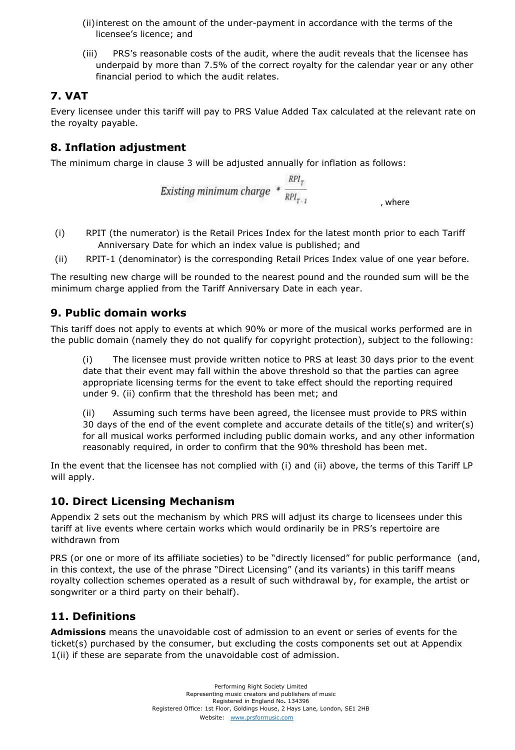- (ii)interest on the amount of the under-payment in accordance with the terms of the licensee's licence; and
- (iii) PRS's reasonable costs of the audit, where the audit reveals that the licensee has underpaid by more than 7.5% of the correct royalty for the calendar year or any other financial period to which the audit relates.

# **7. VAT**

Every licensee under this tariff will pay to PRS Value Added Tax calculated at the relevant rate on the royalty payable.

# **8. Inflation adjustment**

The minimum charge in clause 3 will be adjusted annually for inflation as follows:

*Existing minimum charge* 
$$
* \frac{RPI_{T}}{RPI_{T+1}}
$$
 , where

- (i) RPIT (the numerator) is the Retail Prices Index for the latest month prior to each Tariff Anniversary Date for which an index value is published; and
- (ii) RPIT-1 (denominator) is the corresponding Retail Prices Index value of one year before.

The resulting new charge will be rounded to the nearest pound and the rounded sum will be the minimum charge applied from the Tariff Anniversary Date in each year.

#### **9. Public domain works**

This tariff does not apply to events at which 90% or more of the musical works performed are in the public domain (namely they do not qualify for copyright protection), subject to the following:

(i) The licensee must provide written notice to PRS at least 30 days prior to the event date that their event may fall within the above threshold so that the parties can agree appropriate licensing terms for the event to take effect should the reporting required under 9. (ii) confirm that the threshold has been met; and

(ii) Assuming such terms have been agreed, the licensee must provide to PRS within 30 days of the end of the event complete and accurate details of the title(s) and writer(s) for all musical works performed including public domain works, and any other information reasonably required, in order to confirm that the 90% threshold has been met.

In the event that the licensee has not complied with (i) and (ii) above, the terms of this Tariff LP will apply.

## **10. Direct Licensing Mechanism**

Appendix 2 sets out the mechanism by which PRS will adjust its charge to licensees under this tariff at live events where certain works which would ordinarily be in PRS's repertoire are withdrawn from

PRS (or one or more of its affiliate societies) to be "directly licensed" for public performance (and, in this context, the use of the phrase "Direct Licensing" (and its variants) in this tariff means royalty collection schemes operated as a result of such withdrawal by, for example, the artist or songwriter or a third party on their behalf).

# **11. Definitions**

**Admissions** means the unavoidable cost of admission to an event or series of events for the ticket(s) purchased by the consumer, but excluding the costs components set out at Appendix 1(ii) if these are separate from the unavoidable cost of admission.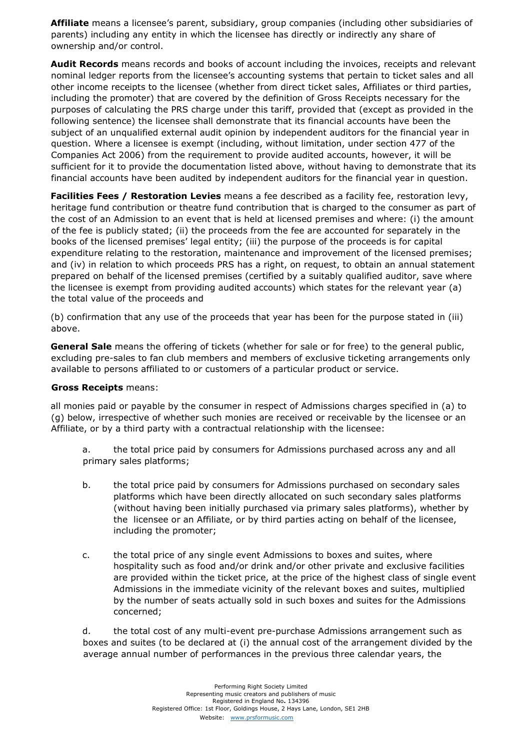**Affiliate** means a licensee's parent, subsidiary, group companies (including other subsidiaries of parents) including any entity in which the licensee has directly or indirectly any share of ownership and/or control.

**Audit Records** means records and books of account including the invoices, receipts and relevant nominal ledger reports from the licensee's accounting systems that pertain to ticket sales and all other income receipts to the licensee (whether from direct ticket sales, Affiliates or third parties, including the promoter) that are covered by the definition of Gross Receipts necessary for the purposes of calculating the PRS charge under this tariff, provided that (except as provided in the following sentence) the licensee shall demonstrate that its financial accounts have been the subject of an unqualified external audit opinion by independent auditors for the financial year in question. Where a licensee is exempt (including, without limitation, under section 477 of the Companies Act 2006) from the requirement to provide audited accounts, however, it will be sufficient for it to provide the documentation listed above, without having to demonstrate that its financial accounts have been audited by independent auditors for the financial year in question.

**Facilities Fees / Restoration Levies** means a fee described as a facility fee, restoration levy, heritage fund contribution or theatre fund contribution that is charged to the consumer as part of the cost of an Admission to an event that is held at licensed premises and where: (i) the amount of the fee is publicly stated; (ii) the proceeds from the fee are accounted for separately in the books of the licensed premises' legal entity; (iii) the purpose of the proceeds is for capital expenditure relating to the restoration, maintenance and improvement of the licensed premises; and (iv) in relation to which proceeds PRS has a right, on request, to obtain an annual statement prepared on behalf of the licensed premises (certified by a suitably qualified auditor, save where the licensee is exempt from providing audited accounts) which states for the relevant year (a) the total value of the proceeds and

(b) confirmation that any use of the proceeds that year has been for the purpose stated in (iii) above.

**General Sale** means the offering of tickets (whether for sale or for free) to the general public, excluding pre-sales to fan club members and members of exclusive ticketing arrangements only available to persons affiliated to or customers of a particular product or service.

#### **Gross Receipts** means:

all monies paid or payable by the consumer in respect of Admissions charges specified in (a) to (g) below, irrespective of whether such monies are received or receivable by the licensee or an Affiliate, or by a third party with a contractual relationship with the licensee:

a. the total price paid by consumers for Admissions purchased across any and all primary sales platforms;

- b. the total price paid by consumers for Admissions purchased on secondary sales platforms which have been directly allocated on such secondary sales platforms (without having been initially purchased via primary sales platforms), whether by the licensee or an Affiliate, or by third parties acting on behalf of the licensee, including the promoter;
- c. the total price of any single event Admissions to boxes and suites, where hospitality such as food and/or drink and/or other private and exclusive facilities are provided within the ticket price, at the price of the highest class of single event Admissions in the immediate vicinity of the relevant boxes and suites, multiplied by the number of seats actually sold in such boxes and suites for the Admissions concerned;

d. the total cost of any multi-event pre-purchase Admissions arrangement such as boxes and suites (to be declared at (i) the annual cost of the arrangement divided by the average annual number of performances in the previous three calendar years, the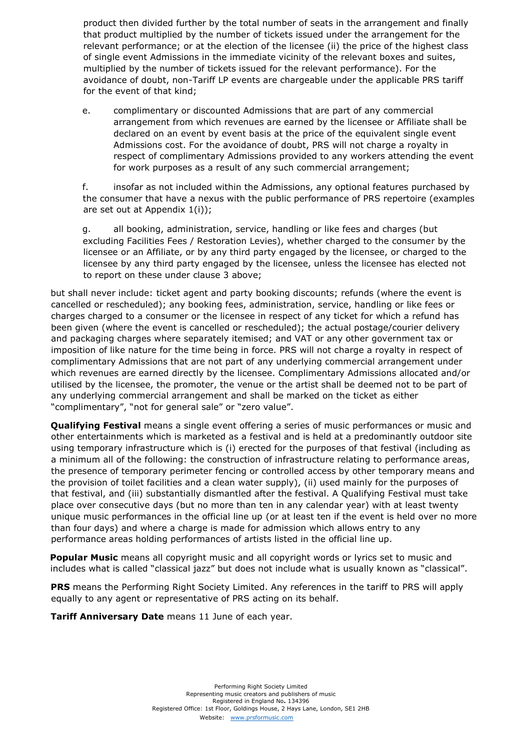product then divided further by the total number of seats in the arrangement and finally that product multiplied by the number of tickets issued under the arrangement for the relevant performance; or at the election of the licensee (ii) the price of the highest class of single event Admissions in the immediate vicinity of the relevant boxes and suites, multiplied by the number of tickets issued for the relevant performance). For the avoidance of doubt, non-Tariff LP events are chargeable under the applicable PRS tariff for the event of that kind;

e. complimentary or discounted Admissions that are part of any commercial arrangement from which revenues are earned by the licensee or Affiliate shall be declared on an event by event basis at the price of the equivalent single event Admissions cost. For the avoidance of doubt, PRS will not charge a royalty in respect of complimentary Admissions provided to any workers attending the event for work purposes as a result of any such commercial arrangement;

f. insofar as not included within the Admissions, any optional features purchased by the consumer that have a nexus with the public performance of PRS repertoire (examples are set out at Appendix 1(i));

g. all booking, administration, service, handling or like fees and charges (but excluding Facilities Fees / Restoration Levies), whether charged to the consumer by the licensee or an Affiliate, or by any third party engaged by the licensee, or charged to the licensee by any third party engaged by the licensee, unless the licensee has elected not to report on these under clause 3 above;

but shall never include: ticket agent and party booking discounts; refunds (where the event is cancelled or rescheduled); any booking fees, administration, service, handling or like fees or charges charged to a consumer or the licensee in respect of any ticket for which a refund has been given (where the event is cancelled or rescheduled); the actual postage/courier delivery and packaging charges where separately itemised; and VAT or any other government tax or imposition of like nature for the time being in force. PRS will not charge a royalty in respect of complimentary Admissions that are not part of any underlying commercial arrangement under which revenues are earned directly by the licensee. Complimentary Admissions allocated and/or utilised by the licensee, the promoter, the venue or the artist shall be deemed not to be part of any underlying commercial arrangement and shall be marked on the ticket as either "complimentary", "not for general sale" or "zero value".

**Qualifying Festival** means a single event offering a series of music performances or music and other entertainments which is marketed as a festival and is held at a predominantly outdoor site using temporary infrastructure which is (i) erected for the purposes of that festival (including as a minimum all of the following: the construction of infrastructure relating to performance areas, the presence of temporary perimeter fencing or controlled access by other temporary means and the provision of toilet facilities and a clean water supply), (ii) used mainly for the purposes of that festival, and (iii) substantially dismantled after the festival. A Qualifying Festival must take place over consecutive days (but no more than ten in any calendar year) with at least twenty unique music performances in the official line up (or at least ten if the event is held over no more than four days) and where a charge is made for admission which allows entry to any performance areas holding performances of artists listed in the official line up.

**Popular Music** means all copyright music and all copyright words or lyrics set to music and includes what is called "classical jazz" but does not include what is usually known as "classical".

**PRS** means the Performing Right Society Limited. Any references in the tariff to PRS will apply equally to any agent or representative of PRS acting on its behalf.

**Tariff Anniversary Date** means 11 June of each year.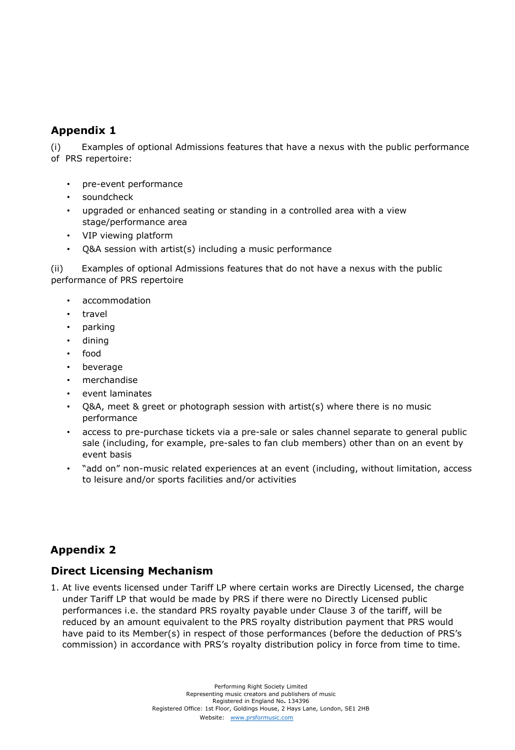#### **Appendix 1**

(i) Examples of optional Admissions features that have a nexus with the public performance of PRS repertoire:

- pre-event performance
- soundcheck
- upgraded or enhanced seating or standing in a controlled area with a view stage/performance area
- VIP viewing platform
- $Q&A$  session with artist(s) including a music performance

(ii) Examples of optional Admissions features that do not have a nexus with the public performance of PRS repertoire

- accommodation
- travel
- parking
- dining
- food
- **beverage**
- merchandise
- event laminates
- Q&A, meet & greet or photograph session with artist(s) where there is no music performance
- access to pre-purchase tickets via a pre-sale or sales channel separate to general public sale (including, for example, pre-sales to fan club members) other than on an event by event basis
- "add on" non-music related experiences at an event (including, without limitation, access to leisure and/or sports facilities and/or activities

## **Appendix 2**

#### **Direct Licensing Mechanism**

1. At live events licensed under Tariff LP where certain works are Directly Licensed, the charge under Tariff LP that would be made by PRS if there were no Directly Licensed public performances i.e. the standard PRS royalty payable under Clause 3 of the tariff, will be reduced by an amount equivalent to the PRS royalty distribution payment that PRS would have paid to its Member(s) in respect of those performances (before the deduction of PRS's commission) in accordance with PRS's royalty distribution policy in force from time to time.